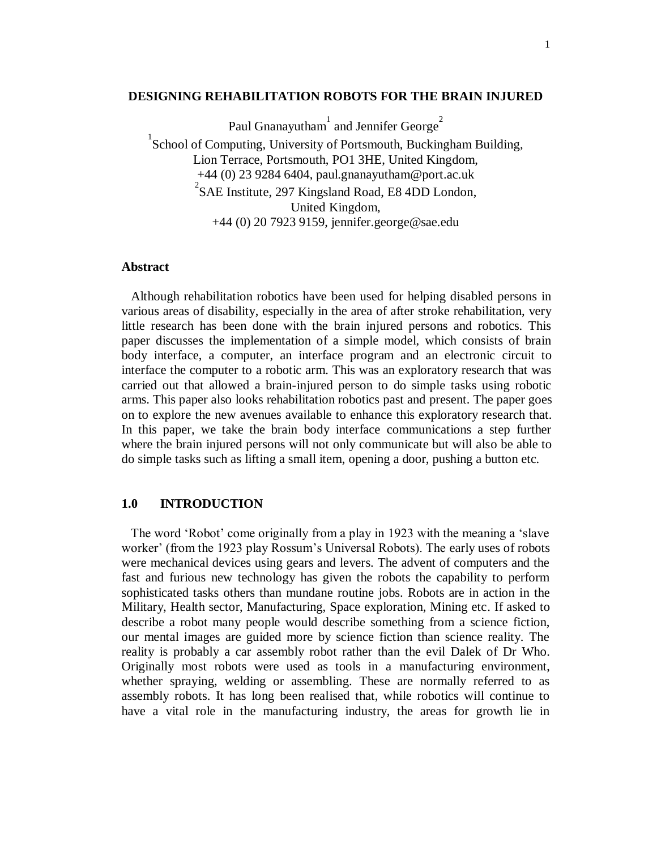# **DESIGNING REHABILITATION ROBOTS FOR THE BRAIN INJURED**

Paul Gnanayutham 1 and Jennifer George<sup>2</sup> <sup>1</sup>School of Computing, University of Portsmouth, Buckingham Building, Lion Terrace, Portsmouth, PO1 3HE, United Kingdom, +44 (0) 23 9284 6404, paul.gnanayutham@port.ac.uk <sup>2</sup> SAE Institute, 297 Kingsland Road, E8 4DD London, United Kingdom, +44 (0) 20 7923 9159, jennifer.george@sae.edu

### **Abstract**

 Although rehabilitation robotics have been used for helping disabled persons in various areas of disability, especially in the area of after stroke rehabilitation, very little research has been done with the brain injured persons and robotics. This paper discusses the implementation of a simple model, which consists of brain body interface, a computer, an interface program and an electronic circuit to interface the computer to a robotic arm. This was an exploratory research that was carried out that allowed a brain-injured person to do simple tasks using robotic arms. This paper also looks rehabilitation robotics past and present. The paper goes on to explore the new avenues available to enhance this exploratory research that. In this paper, we take the brain body interface communications a step further where the brain injured persons will not only communicate but will also be able to do simple tasks such as lifting a small item, opening a door, pushing a button etc.

# **1.0 INTRODUCTION**

 The word 'Robot' come originally from a play in 1923 with the meaning a 'slave worker' (from the 1923 play Rossum's Universal Robots). The early uses of robots were mechanical devices using gears and levers. The advent of computers and the fast and furious new technology has given the robots the capability to perform sophisticated tasks others than mundane routine jobs. Robots are in action in the Military, Health sector, Manufacturing, Space exploration, Mining etc. If asked to describe a robot many people would describe something from a science fiction, our mental images are guided more by science fiction than science reality. The reality is probably a car assembly robot rather than the evil Dalek of Dr Who. Originally most robots were used as tools in a manufacturing environment, whether spraying, welding or assembling. These are normally referred to as assembly robots. It has long been realised that, while robotics will continue to have a vital role in the manufacturing industry, the areas for growth lie in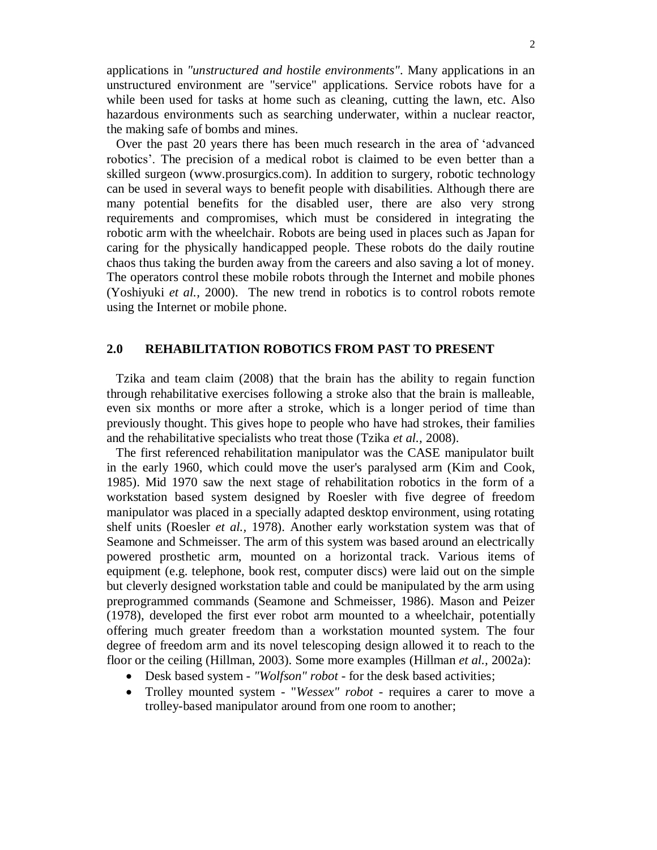applications in *"unstructured and hostile environments"*. Many applications in an unstructured environment are "service" applications. Service robots have for a while been used for tasks at home such as cleaning, cutting the lawn, etc. Also hazardous environments such as searching underwater, within a nuclear reactor, the making safe of bombs and mines.

 Over the past 20 years there has been much research in the area of 'advanced robotics'. The precision of a medical robot is claimed to be even better than a skilled surgeon [\(www.prosurgics.com\)](http://www.prosurgics.com/). In addition to surgery, robotic technology can be used in several ways to benefit people with disabilities. Although there are many potential benefits for the disabled user, there are also very strong requirements and compromises, which must be considered in integrating the robotic arm with the wheelchair. Robots are being used in places such as Japan for caring for the physically handicapped people. These robots do the daily routine chaos thus taking the burden away from the careers and also saving a lot of money. The operators control these mobile robots through the Internet and mobile phones (Yoshiyuki *et al.,* 2000). The new trend in robotics is to control robots remote using the Internet or mobile phone.

## **2.0 REHABILITATION ROBOTICS FROM PAST TO PRESENT**

 Tzika and team claim (2008) that the brain has the ability to regain function through rehabilitative exercises following a stroke also that the brain is malleable, even six months or more after a stroke, which is a longer period of time than previously thought. This gives hope to people who have had strokes, their families and the rehabilitative specialists who treat those (Tzika *et al.,* 2008).

 The first referenced rehabilitation manipulator was the CASE manipulator built in the early 1960, which could move the user's paralysed arm (Kim and Cook, 1985). Mid 1970 saw the next stage of rehabilitation robotics in the form of a workstation based system designed by Roesler with five degree of freedom manipulator was placed in a specially adapted desktop environment, using rotating shelf units (Roesler *et al.,* 1978). Another early workstation system was that of Seamone and Schmeisser. The arm of this system was based around an electrically powered prosthetic arm, mounted on a horizontal track. Various items of equipment (e.g. telephone, book rest, computer discs) were laid out on the simple but cleverly designed workstation table and could be manipulated by the arm using preprogrammed commands (Seamone and Schmeisser, 1986). Mason and Peizer (1978), developed the first ever robot arm mounted to a wheelchair, potentially offering much greater freedom than a workstation mounted system. The four degree of freedom arm and its novel telescoping design allowed it to reach to the floor or the ceiling (Hillman, 2003). Some more examples (Hillman *et al.,* 2002a):

- Desk based system *"Wolfson" robot* for the desk based activities;
- Trolley mounted system "*Wessex" robot* requires a carer to move a trolley-based manipulator around from one room to another;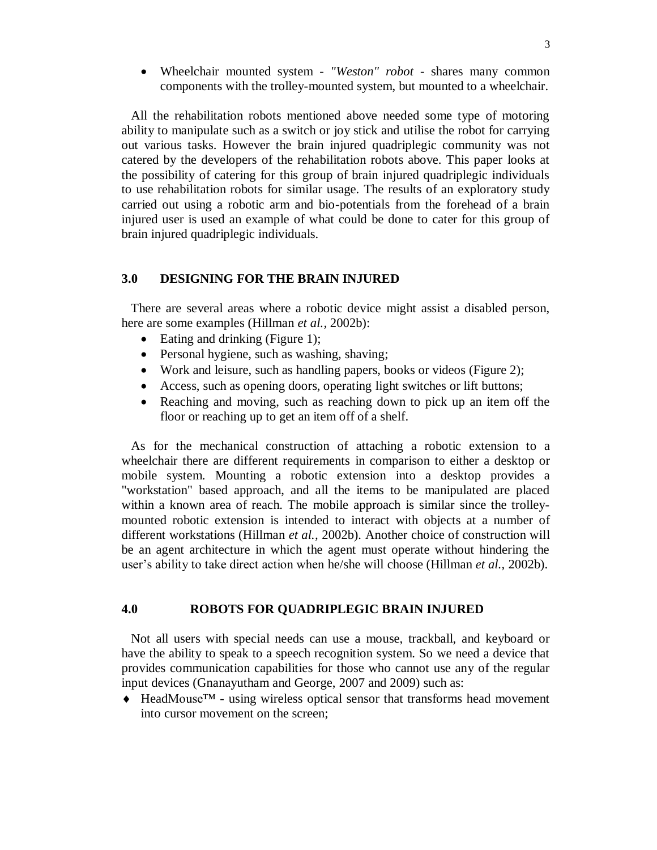Wheelchair mounted system - *"Weston" robot* - shares many common components with the trolley-mounted system, but mounted to a wheelchair.

 All the rehabilitation robots mentioned above needed some type of motoring ability to manipulate such as a switch or joy stick and utilise the robot for carrying out various tasks. However the brain injured quadriplegic community was not catered by the developers of the rehabilitation robots above. This paper looks at the possibility of catering for this group of brain injured quadriplegic individuals to use rehabilitation robots for similar usage. The results of an exploratory study carried out using a robotic arm and bio-potentials from the forehead of a brain injured user is used an example of what could be done to cater for this group of brain injured quadriplegic individuals.

### **3.0 DESIGNING FOR THE BRAIN INJURED**

 There are several areas where a robotic device might assist a disabled person, here are some examples (Hillman *et al.,* 2002b):

- Eating and drinking (Figure 1);
- Personal hygiene, such as washing, shaving;
- Work and leisure, such as handling papers, books or videos (Figure 2);
- Access, such as opening doors, operating light switches or lift buttons;
- Reaching and moving, such as reaching down to pick up an item off the floor or reaching up to get an item off of a shelf.

 As for the mechanical construction of attaching a robotic extension to a wheelchair there are different requirements in comparison to either a desktop or mobile system. Mounting a robotic extension into a desktop provides a "workstation" based approach, and all the items to be manipulated are placed within a known area of reach. The mobile approach is similar since the trolleymounted robotic extension is intended to interact with objects at a number of different workstations (Hillman *et al.,* 2002b). Another choice of construction will be an agent architecture in which the agent must operate without hindering the user's ability to take direct action when he/she will choose (Hillman *et al.,* 2002b).

## **4.0 ROBOTS FOR QUADRIPLEGIC BRAIN INJURED**

 Not all users with special needs can use a mouse, trackball, and keyboard or have the ability to speak to a speech recognition system. So we need a device that provides communication capabilities for those who cannot use any of the regular input devices (Gnanayutham and George, 2007 and 2009) such as:

 HeadMouse™ - using wireless optical sensor that transforms head movement into cursor movement on the screen;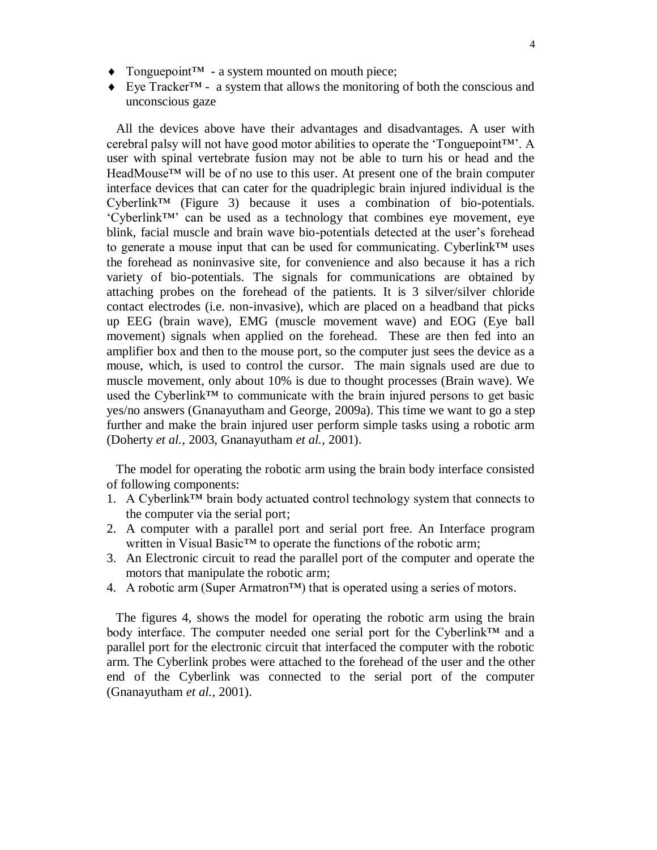- Tonguepoint™ a system mounted on mouth piece;
- Eye Tracker™ a system that allows the monitoring of both the conscious and unconscious gaze

 All the devices above have their advantages and disadvantages. A user with cerebral palsy will not have good motor abilities to operate the 'Tonguepoint™'. A user with spinal vertebrate fusion may not be able to turn his or head and the HeadMouse<sup>™</sup> will be of no use to this user. At present one of the brain computer interface devices that can cater for the quadriplegic brain injured individual is the Cyberlink™ (Figure 3) because it uses a combination of bio-potentials. 'Cyberlink™' can be used as a technology that combines eye movement, eye blink, facial muscle and brain wave bio-potentials detected at the user's forehead to generate a mouse input that can be used for communicating. Cyberlink™ uses the forehead as noninvasive site, for convenience and also because it has a rich variety of bio-potentials. The signals for communications are obtained by attaching probes on the forehead of the patients. It is 3 silver/silver chloride contact electrodes (i.e. non-invasive), which are placed on a headband that picks up EEG (brain wave), EMG (muscle movement wave) and EOG (Eye ball movement) signals when applied on the forehead. These are then fed into an amplifier box and then to the mouse port, so the computer just sees the device as a mouse, which, is used to control the cursor. The main signals used are due to muscle movement, only about 10% is due to thought processes (Brain wave). We used the Cyberlink™ to communicate with the brain injured persons to get basic yes/no answers (Gnanayutham and George, 2009a). This time we want to go a step further and make the brain injured user perform simple tasks using a robotic arm (Doherty *et al.,* 2003, Gnanayutham *et al.,* 2001).

 The model for operating the robotic arm using the brain body interface consisted of following components:

- 1. A Cyberlink™ brain body actuated control technology system that connects to the computer via the serial port;
- 2. A computer with a parallel port and serial port free. An Interface program written in Visual Basic<sup>™</sup> to operate the functions of the robotic arm;
- 3. An Electronic circuit to read the parallel port of the computer and operate the motors that manipulate the robotic arm;
- 4. A robotic arm (Super Armatron™) that is operated using a series of motors.

 The figures 4, shows the model for operating the robotic arm using the brain body interface. The computer needed one serial port for the Cyberlink™ and a parallel port for the electronic circuit that interfaced the computer with the robotic arm. The Cyberlink probes were attached to the forehead of the user and the other end of the Cyberlink was connected to the serial port of the computer (Gnanayutham *et al.,* 2001).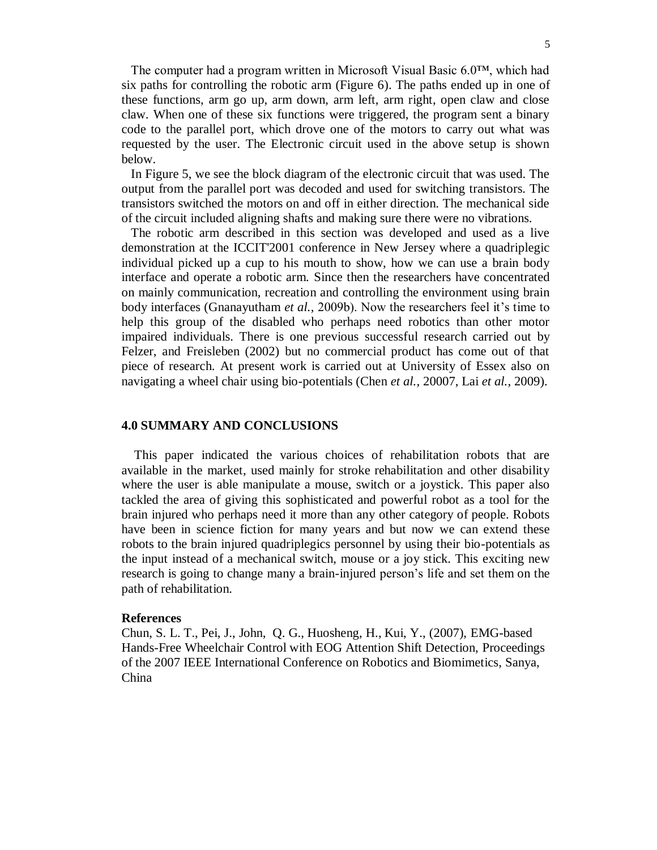The computer had a program written in Microsoft Visual Basic 6.0™, which had six paths for controlling the robotic arm (Figure 6). The paths ended up in one of these functions, arm go up, arm down, arm left, arm right, open claw and close claw. When one of these six functions were triggered, the program sent a binary code to the parallel port, which drove one of the motors to carry out what was requested by the user. The Electronic circuit used in the above setup is shown below.

 In Figure 5, we see the block diagram of the electronic circuit that was used. The output from the parallel port was decoded and used for switching transistors. The transistors switched the motors on and off in either direction. The mechanical side of the circuit included aligning shafts and making sure there were no vibrations.

 The robotic arm described in this section was developed and used as a live demonstration at the ICCIT'2001 conference in New Jersey where a quadriplegic individual picked up a cup to his mouth to show, how we can use a brain body interface and operate a robotic arm. Since then the researchers have concentrated on mainly communication, recreation and controlling the environment using brain body interfaces (Gnanayutham *et al.,* 2009b). Now the researchers feel it's time to help this group of the disabled who perhaps need robotics than other motor impaired individuals. There is one previous successful research carried out by Felzer, and Freisleben (2002) but no commercial product has come out of that piece of research. At present work is carried out at University of Essex also on navigating a wheel chair using bio-potentials (Chen *et al.,* 20007, Lai *et al.,* 2009).

#### **4.0 SUMMARY AND CONCLUSIONS**

 This paper indicated the various choices of rehabilitation robots that are available in the market, used mainly for stroke rehabilitation and other disability where the user is able manipulate a mouse, switch or a joystick. This paper also tackled the area of giving this sophisticated and powerful robot as a tool for the brain injured who perhaps need it more than any other category of people. Robots have been in science fiction for many years and but now we can extend these robots to the brain injured quadriplegics personnel by using their bio-potentials as the input instead of a mechanical switch, mouse or a joy stick. This exciting new research is going to change many a brain-injured person's life and set them on the path of rehabilitation.

#### **References**

Chun, S. L. T., Pei, J., John, Q. G., Huosheng, H., Kui, Y., (2007), EMG-based Hands-Free Wheelchair Control with EOG Attention Shift Detection, Proceedings of the 2007 IEEE International Conference on Robotics and Biomimetics, Sanya, China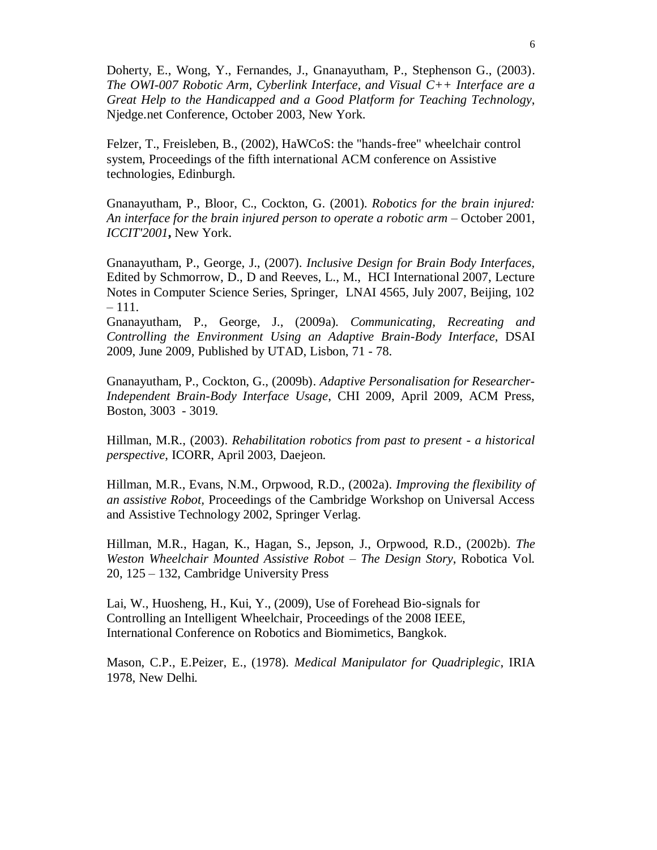Doherty, E., Wong, Y., Fernandes, J., Gnanayutham, P., Stephenson G., (2003). *The OWI-007 Robotic Arm, Cyberlink Interface, and Visual C++ Interface are a Great Help to the Handicapped and a Good Platform for Teaching Technology*, Njedge.net Conference, October 2003, New York.

Felzer, T., Freisleben, B., (2002), HaWCoS: the "hands-free" wheelchair control system, Proceedings of the fifth international ACM conference on Assistive technologies, Edinburgh.

Gnanayutham, P., Bloor, C., Cockton, G. (2001). *Robotics for the brain injured: An interface for the brain injured person to operate a robotic arm* – October 2001, *ICCIT'2001***,** New York.

Gnanayutham, P., George, J., (2007). *Inclusive Design for Brain Body Interfaces,* Edited by Schmorrow, D., D and Reeves, L., M., HCI International 2007, Lecture Notes in Computer Science Series, Springer, LNAI 4565, July 2007, Beijing, 102 – 111.

Gnanayutham, P., George, J., (2009a). *Communicating, Recreating and Controlling the Environment Using an Adaptive Brain-Body Interface*, DSAI 2009, June 2009, Published by UTAD, Lisbon, 71 - 78.

Gnanayutham, P., Cockton, G., (2009b). *Adaptive Personalisation for Researcher-Independent Brain-Body Interface Usage*, CHI 2009, April 2009, ACM Press, Boston, 3003 - 3019.

Hillman, M.R., (2003). *Rehabilitation robotics from past to present - a historical perspective*, ICORR, April 2003, Daejeon.

Hillman, M.R., Evans, N.M., Orpwood, R.D., (2002a). *Improving the flexibility of an assistive Robot,* Proceedings of the Cambridge Workshop on Universal Access and Assistive Technology 2002, Springer Verlag.

Hillman, M.R., Hagan, K., Hagan, S., Jepson, J., Orpwood, R.D., (2002b). *The Weston Wheelchair Mounted Assistive Robot – The Design Story*, Robotica Vol. 20, 125 – 132, Cambridge University Press

Lai, W., Huosheng, H., Kui, Y., (2009), Use of Forehead Bio-signals for Controlling an Intelligent Wheelchair, Proceedings of the 2008 IEEE, International Conference on Robotics and Biomimetics, Bangkok.

Mason, C.P., E.Peizer, E., (1978). *Medical Manipulator for Quadriplegic*, IRIA 1978, New Delhi.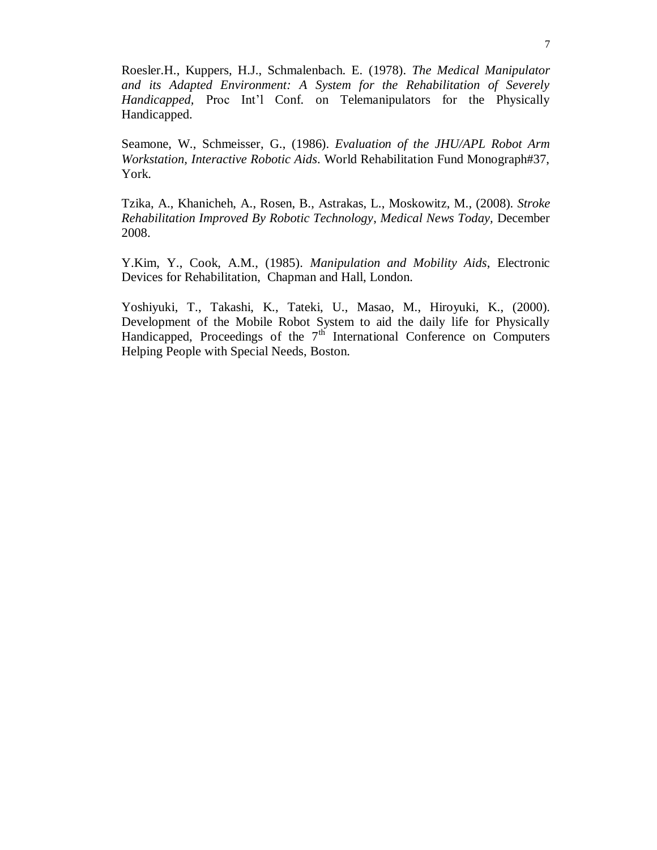Roesler.H., Kuppers, H.J., Schmalenbach. E. (1978). *The Medical Manipulator and its Adapted Environment: A System for the Rehabilitation of Severely Handicapped,* Proc Int'l Conf. on Telemanipulators for the Physically Handicapped.

Seamone, W., Schmeisser, G., (1986). *Evaluation of the JHU/APL Robot Arm Workstation, Interactive Robotic Aids*. World Rehabilitation Fund Monograph#37, York.

Tzika, A., Khanicheh, A., Rosen, B., Astrakas, L., Moskowitz, M., (2008). *Stroke Rehabilitation Improved By Robotic Technology*, *Medical News Today,* December 2008.

Y.Kim, Y., Cook, A.M., (1985). *Manipulation and Mobility Aids*, Electronic Devices for Rehabilitation, Chapman and Hall, London.

Yoshiyuki, T., Takashi, K., Tateki, U., Masao, M., Hiroyuki, K., (2000). Development of the Mobile Robot System to aid the daily life for Physically Handicapped, Proceedings of the  $7<sup>th</sup>$  International Conference on Computers Helping People with Special Needs, Boston.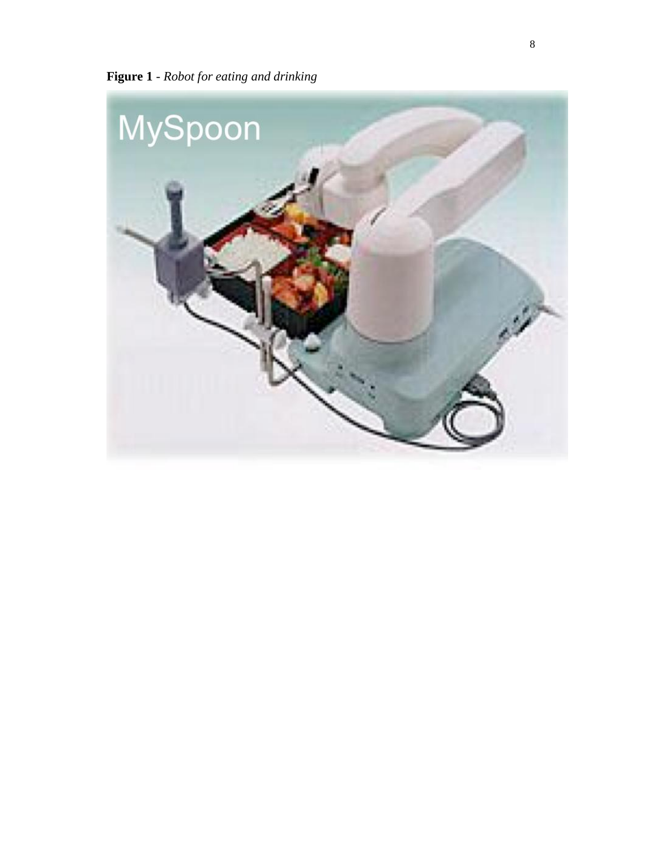**Figure 1** - *Robot for eating and drinking*

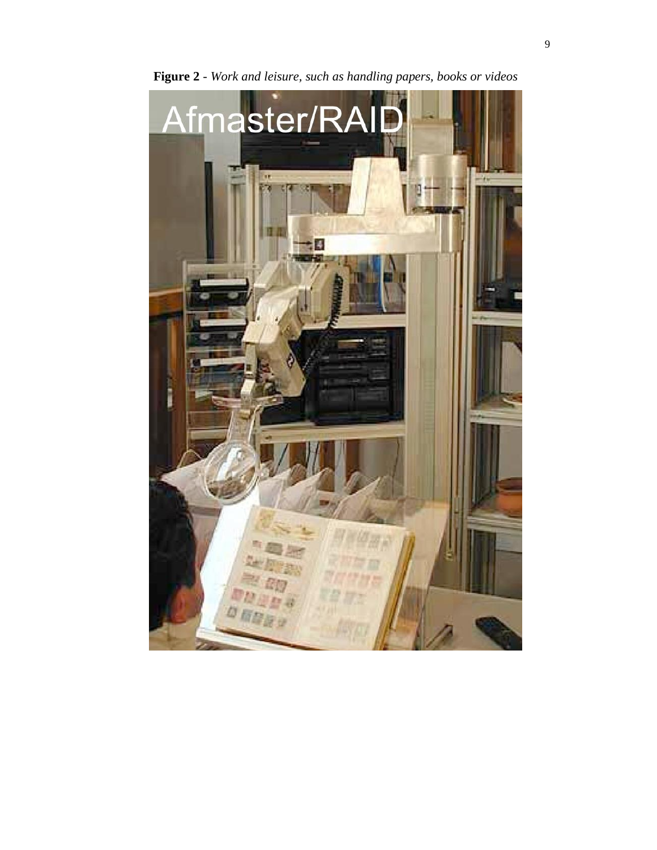

**Figure 2** - *Work and leisure, such as handling papers, books or videos*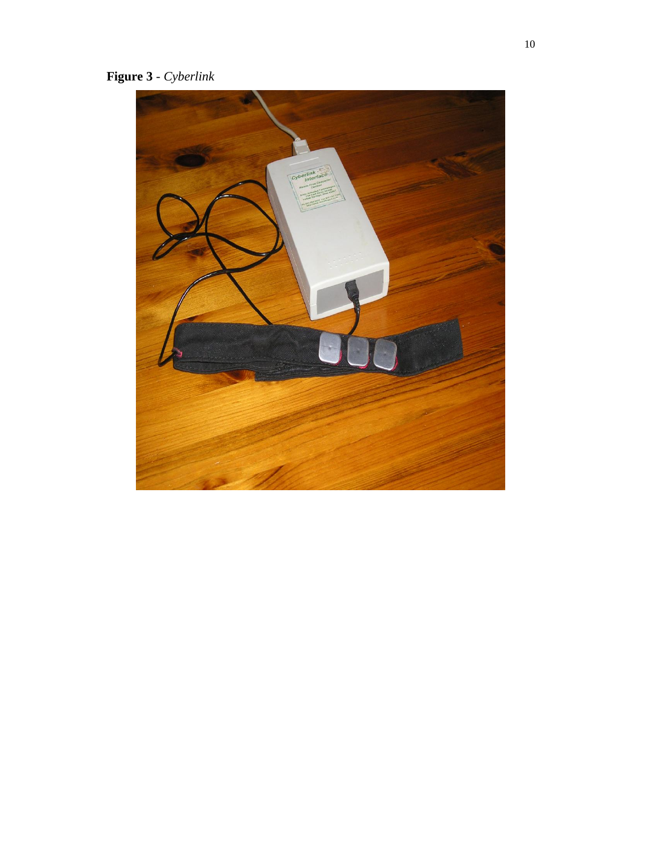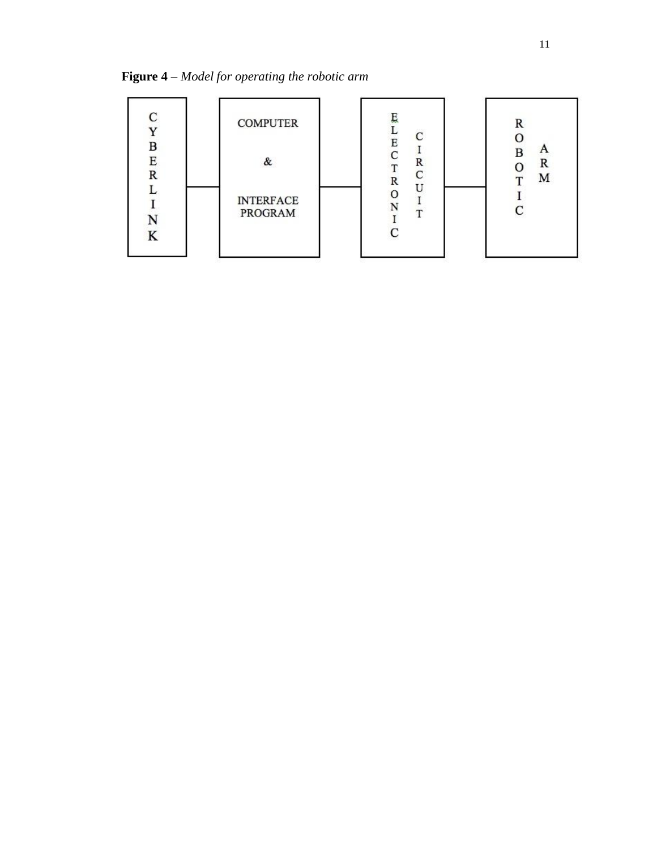**Figure 4** – *Model for operating the robotic arm*

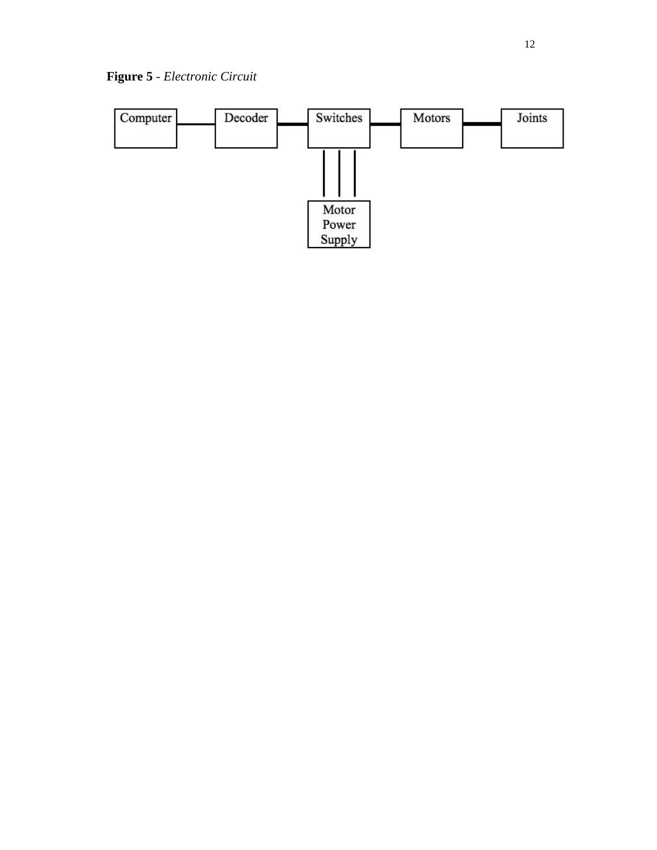**Figure 5** - *Electronic Circuit*